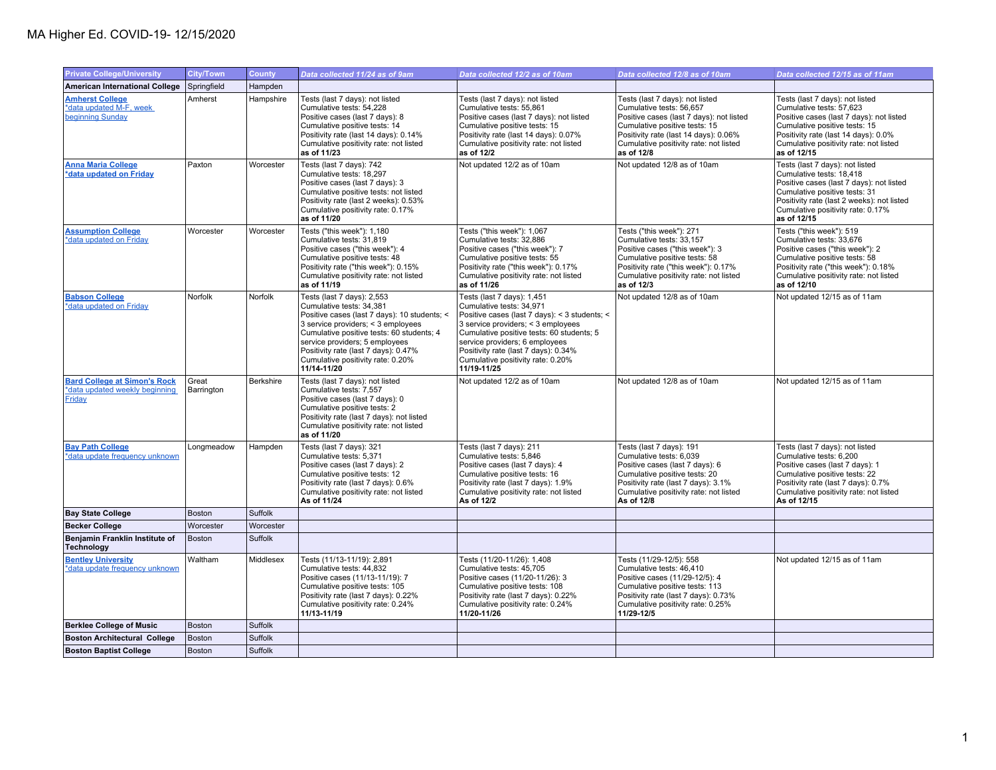## MA Higher Ed. COVID-19- 12/15/2020

| <b>Private College/University</b>                                               | <b>City/Town</b>    | <b>County</b> | Data collected 11/24 as of 9am                                                                                                                                                                                                                                                                                          | Data collected 12/2 as of 10am                                                                                                                                                                                                                                                                                           | Data collected 12/8 as of 10am                                                                                                                                                                                                            | Data collected 12/15 as of 11am                                                                                                                                                                                                            |
|---------------------------------------------------------------------------------|---------------------|---------------|-------------------------------------------------------------------------------------------------------------------------------------------------------------------------------------------------------------------------------------------------------------------------------------------------------------------------|--------------------------------------------------------------------------------------------------------------------------------------------------------------------------------------------------------------------------------------------------------------------------------------------------------------------------|-------------------------------------------------------------------------------------------------------------------------------------------------------------------------------------------------------------------------------------------|--------------------------------------------------------------------------------------------------------------------------------------------------------------------------------------------------------------------------------------------|
| <b>American International College</b>                                           | Springfield         | Hampden       |                                                                                                                                                                                                                                                                                                                         |                                                                                                                                                                                                                                                                                                                          |                                                                                                                                                                                                                                           |                                                                                                                                                                                                                                            |
| <b>Amherst College</b><br>*data updated M-F, week<br>beginning Sunday           | Amherst             | Hampshire     | Tests (last 7 days): not listed<br>Cumulative tests: 54,228<br>Positive cases (last 7 days): 8<br>Cumulative positive tests: 14<br>Positivity rate (last 14 days): 0.14%<br>Cumulative positivity rate: not listed<br>as of 11/23                                                                                       | Tests (last 7 days): not listed<br>Cumulative tests: 55,861<br>Positive cases (last 7 days): not listed<br>Cumulative positive tests: 15<br>Positivity rate (last 14 days): 0.07%<br>Cumulative positivity rate: not listed<br>as of 12/2                                                                                | Tests (last 7 days): not listed<br>Cumulative tests: 56,657<br>Positive cases (last 7 days): not listed<br>Cumulative positive tests: 15<br>Positivity rate (last 14 days): 0.06%<br>Cumulative positivity rate: not listed<br>as of 12/8 | Tests (last 7 days): not listed<br>Cumulative tests: 57,623<br>Positive cases (last 7 days): not listed<br>Cumulative positive tests: 15<br>Positivity rate (last 14 days): 0.0%<br>Cumulative positivity rate: not listed<br>as of 12/15  |
| <b>Anna Maria College</b><br>*data updated on Friday                            | Paxton              | Worcester     | Tests (last 7 days): 742<br>Cumulative tests: 18.297<br>Positive cases (last 7 days): 3<br>Cumulative positive tests: not listed<br>Positivity rate (last 2 weeks): 0.53%<br>Cumulative positivity rate: 0.17%<br>as of 11/20                                                                                           | Not updated 12/2 as of 10am                                                                                                                                                                                                                                                                                              | Not updated 12/8 as of 10am                                                                                                                                                                                                               | Tests (last 7 days): not listed<br>Cumulative tests: 18.418<br>Positive cases (last 7 days): not listed<br>Cumulative positive tests: 31<br>Positivity rate (last 2 weeks): not listed<br>Cumulative positivity rate: 0.17%<br>as of 12/15 |
| <b>Assumption College</b><br>*data updated on Friday                            | Worcester           | Worcester     | Tests ("this week"): 1,180<br>Cumulative tests: 31,819<br>Positive cases ("this week"): 4<br>Cumulative positive tests: 48<br>Positivity rate ("this week"): 0.15%<br>Cumulative positivity rate: not listed<br>as of 11/19                                                                                             | Tests ("this week"): 1,067<br>Cumulative tests: 32,886<br>Positive cases ("this week"): 7<br>Cumulative positive tests: 55<br>Positivity rate ("this week"): 0.17%<br>Cumulative positivity rate: not listed<br>as of 11/26                                                                                              | Tests ("this week"): 271<br>Cumulative tests: 33,157<br>Positive cases ("this week"): 3<br>Cumulative positive tests: 58<br>Positivity rate ("this week"): 0.17%<br>Cumulative positivity rate: not listed<br>as of 12/3                  | Tests ("this week"): 519<br>Cumulative tests: 33,676<br>Positive cases ("this week"): 2<br>Cumulative positive tests: 58<br>Positivity rate ("this week"): 0.18%<br>Cumulative positivity rate: not listed<br>as of 12/10                  |
| <b>Babson College</b><br>*data updated on Friday                                | Norfolk             | Norfolk       | Tests (last 7 days): 2,553<br>Cumulative tests: 34,381<br>Positive cases (last 7 days): 10 students; <<br>3 service providers; < 3 employees<br>Cumulative positive tests: 60 students; 4<br>service providers; 5 employees<br>Positivity rate (last 7 days): 0.47%<br>Cumulative positivity rate: 0.20%<br>11/14-11/20 | Tests (last 7 days): 1,451<br>Cumulative tests: 34,971<br>Positive cases (last 7 days): < 3 students; <<br>3 service providers; < 3 employees<br>Cumulative positive tests: 60 students; 5<br>service providers; 6 employees<br>Positivity rate (last 7 days): 0.34%<br>Cumulative positivity rate: 0.20%<br>11/19-11/25 | Not updated 12/8 as of 10am                                                                                                                                                                                                               | Not updated 12/15 as of 11am                                                                                                                                                                                                               |
| <b>Bard College at Simon's Rock</b><br>*data updated weekly beginning<br>Friday | Great<br>Barrington | Berkshire     | Tests (last 7 days): not listed<br>Cumulative tests: 7.557<br>Positive cases (last 7 days): 0<br>Cumulative positive tests: 2<br>Positivity rate (last 7 days): not listed<br>Cumulative positivity rate: not listed<br>as of 11/20                                                                                     | Not updated 12/2 as of 10am                                                                                                                                                                                                                                                                                              | Not updated 12/8 as of 10am                                                                                                                                                                                                               | Not updated 12/15 as of 11am                                                                                                                                                                                                               |
| <b>Bay Path College</b><br>*data update frequency unknown                       | Longmeadow          | Hampden       | Tests (last 7 days): 321<br>Cumulative tests: 5,371<br>Positive cases (last 7 days): 2<br>Cumulative positive tests: 12<br>Positivity rate (last 7 days): 0.6%<br>Cumulative positivity rate: not listed<br>As of 11/24                                                                                                 | Tests (last 7 days): 211<br>Cumulative tests: 5,846<br>Positive cases (last 7 days): 4<br>Cumulative positive tests: 16<br>Positivity rate (last 7 days): 1.9%<br>Cumulative positivity rate: not listed<br>As of 12/2                                                                                                   | Tests (last 7 days): 191<br>Cumulative tests: 6,039<br>Positive cases (last 7 days): 6<br>Cumulative positive tests: 20<br>Positivity rate (last 7 days): 3.1%<br>Cumulative positivity rate: not listed<br>As of 12/8                    | Tests (last 7 days): not listed<br>Cumulative tests: 6,200<br>Positive cases (last 7 days): 1<br>Cumulative positive tests: 22<br>Positivity rate (last 7 days): 0.7%<br>Cumulative positivity rate: not listed<br>As of 12/15             |
| <b>Bay State College</b>                                                        | <b>Boston</b>       | Suffolk       |                                                                                                                                                                                                                                                                                                                         |                                                                                                                                                                                                                                                                                                                          |                                                                                                                                                                                                                                           |                                                                                                                                                                                                                                            |
| <b>Becker College</b>                                                           | Worcester           | Worcester     |                                                                                                                                                                                                                                                                                                                         |                                                                                                                                                                                                                                                                                                                          |                                                                                                                                                                                                                                           |                                                                                                                                                                                                                                            |
| Benjamin Franklin Institute of<br>Technology                                    | <b>Boston</b>       | Suffolk       |                                                                                                                                                                                                                                                                                                                         |                                                                                                                                                                                                                                                                                                                          |                                                                                                                                                                                                                                           |                                                                                                                                                                                                                                            |
| <b>Bentley University</b><br>*data update frequency unknown                     | Waltham             | Middlesex     | Tests (11/13-11/19): 2,891<br>Cumulative tests: 44,832<br>Positive cases (11/13-11/19): 7<br>Cumulative positive tests: 105<br>Positivity rate (last 7 days): 0.22%<br>Cumulative positivity rate: 0.24%<br>11/13-11/19                                                                                                 | Tests (11/20-11/26): 1,408<br>Cumulative tests: 45,705<br>Positive cases (11/20-11/26): 3<br>Cumulative positive tests: 108<br>Positivity rate (last 7 days): 0.22%<br>Cumulative positivity rate: 0.24%<br>11/20-11/26                                                                                                  | Tests (11/29-12/5): 558<br>Cumulative tests: 46,410<br>Positive cases (11/29-12/5): 4<br>Cumulative positive tests: 113<br>Positivity rate (last 7 days): 0.73%<br>Cumulative positivity rate: 0.25%<br>11/29-12/5                        | Not updated 12/15 as of 11am                                                                                                                                                                                                               |
| <b>Berklee College of Music</b>                                                 | Boston              | Suffolk       |                                                                                                                                                                                                                                                                                                                         |                                                                                                                                                                                                                                                                                                                          |                                                                                                                                                                                                                                           |                                                                                                                                                                                                                                            |
| <b>Boston Architectural College</b>                                             | <b>Boston</b>       | Suffolk       |                                                                                                                                                                                                                                                                                                                         |                                                                                                                                                                                                                                                                                                                          |                                                                                                                                                                                                                                           |                                                                                                                                                                                                                                            |
| <b>Boston Baptist College</b>                                                   | Boston              | Suffolk       |                                                                                                                                                                                                                                                                                                                         |                                                                                                                                                                                                                                                                                                                          |                                                                                                                                                                                                                                           |                                                                                                                                                                                                                                            |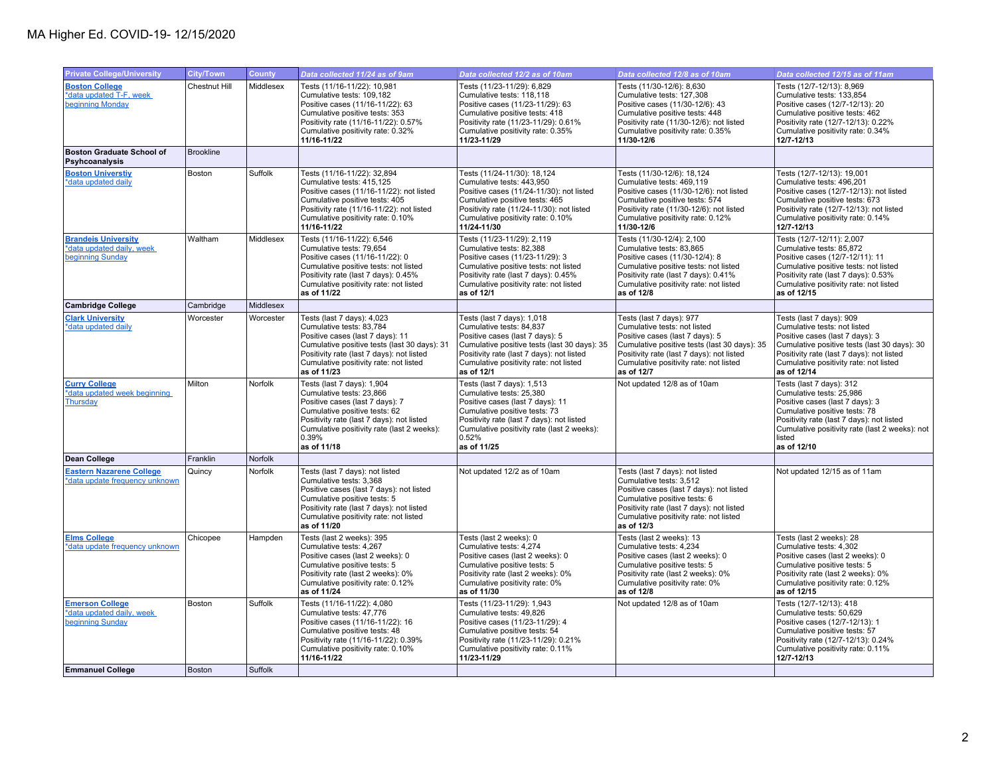| <b>Private College/University</b>                                           | <b>City/Town</b>     | <b>County</b>  | Data collected 11/24 as of 9am                                                                                                                                                                                                                   | Data collected 12/2 as of 10am                                                                                                                                                                                                                 | Data collected 12/8 as of 10am                                                                                                                                                                                                                   | Data collected 12/15 as of 11am                                                                                                                                                                                                                   |
|-----------------------------------------------------------------------------|----------------------|----------------|--------------------------------------------------------------------------------------------------------------------------------------------------------------------------------------------------------------------------------------------------|------------------------------------------------------------------------------------------------------------------------------------------------------------------------------------------------------------------------------------------------|--------------------------------------------------------------------------------------------------------------------------------------------------------------------------------------------------------------------------------------------------|---------------------------------------------------------------------------------------------------------------------------------------------------------------------------------------------------------------------------------------------------|
| <b>Boston College</b><br>*data updated T-F, week<br>beginning Monday        | <b>Chestnut Hill</b> | Middlesex      | Tests (11/16-11/22): 10,981<br>Cumulative tests: 109,182<br>Positive cases (11/16-11/22): 63<br>Cumulative positive tests: 353<br>Positivity rate (11/16-11/22): 0.57%<br>Cumulative positivity rate: 0.32%<br>11/16-11/22                       | Tests (11/23-11/29): 6,829<br>Cumulative tests: 118,118<br>Positive cases (11/23-11/29): 63<br>Cumulative positive tests: 418<br>Positivity rate (11/23-11/29): 0.61%<br>Cumulative positivity rate: 0.35%<br>11/23-11/29                      | Tests (11/30-12/6): 8,630<br>Cumulative tests: 127,308<br>Positive cases (11/30-12/6): 43<br>Cumulative positive tests: 448<br>Positivity rate (11/30-12/6): not listed<br>Cumulative positivity rate: 0.35%<br>11/30-12/6                       | Tests (12/7-12/13): 8,969<br>Cumulative tests: 133,854<br>Positive cases (12/7-12/13): 20<br>Cumulative positive tests: 462<br>Positivity rate (12/7-12/13): 0.22%<br>Cumulative positivity rate: 0.34%<br>12/7-12/13                             |
| <b>Boston Graduate School of</b><br>Psyhcoanalysis                          | <b>Brookline</b>     |                |                                                                                                                                                                                                                                                  |                                                                                                                                                                                                                                                |                                                                                                                                                                                                                                                  |                                                                                                                                                                                                                                                   |
| <b>Boston Universtiv</b><br>*data updated daily                             | Boston               | <b>Suffolk</b> | Tests (11/16-11/22): 32,894<br>Cumulative tests: 415,125<br>Positive cases (11/16-11/22): not listed<br>Cumulative positive tests: 405<br>Positivity rate (11/16-11/22): not listed<br>Cumulative positivity rate: 0.10%<br>11/16-11/22          | Tests (11/24-11/30): 18,124<br>Cumulative tests: 443,950<br>Positive cases (11/24-11/30): not listed<br>Cumulative positive tests: 465<br>Positivity rate (11/24-11/30): not listed<br>Cumulative positivity rate: 0.10%<br>11/24-11/30        | Tests (11/30-12/6): 18,124<br>Cumulative tests: 469,119<br>Positive cases (11/30-12/6): not listed<br>Cumulative positive tests: 574<br>Positivity rate (11/30-12/6): not listed<br>Cumulative positivity rate: 0.12%<br>11/30-12/6              | Tests (12/7-12/13): 19,001<br>Cumulative tests: 496,201<br>Positive cases (12/7-12/13): not listed<br>Cumulative positive tests: 673<br>Positivity rate (12/7-12/13): not listed<br>Cumulative positivity rate: 0.14%<br>12/7-12/13               |
| <b>Brandeis University</b><br>*data updated daily, week<br>beginning Sunday | Waltham              | Middlesex      | Tests (11/16-11/22): 6,546<br>Cumulative tests: 79,654<br>Positive cases (11/16-11/22): 0<br>Cumulative positive tests: not listed<br>Positivity rate (last 7 days): 0.45%<br>Cumulative positivity rate: not listed<br>as of 11/22              | Tests (11/23-11/29): 2,119<br>Cumulative tests: 82,388<br>Positive cases (11/23-11/29): 3<br>Cumulative positive tests: not listed<br>Positivity rate (last 7 days): 0.45%<br>Cumulative positivity rate: not listed<br>as of 12/1             | Tests (11/30-12/4): 2,100<br>Cumulative tests: 83,865<br>Positive cases (11/30-12/4): 8<br>Cumulative positive tests: not listed<br>Positivity rate (last 7 days): 0.41%<br>Cumulative positivity rate: not listed<br>as of 12/8                 | Tests (12/7-12/11): 2,007<br>Cumulative tests: 85,872<br>Positive cases (12/7-12/11): 11<br>Cumulative positive tests: not listed<br>Positivity rate (last 7 days): 0.53%<br>Cumulative positivity rate: not listed<br>as of 12/15                |
| <b>Cambridge College</b>                                                    | Cambridge            | Middlesex      |                                                                                                                                                                                                                                                  |                                                                                                                                                                                                                                                |                                                                                                                                                                                                                                                  |                                                                                                                                                                                                                                                   |
| <b>Clark University</b><br>*data updated daily                              | Worcester            | Worcester      | Tests (last 7 days): 4,023<br>Cumulative tests: 83,784<br>Positive cases (last 7 days): 11<br>Cumulative positive tests (last 30 days): 31<br>Positivity rate (last 7 days): not listed<br>Cumulative positivity rate: not listed<br>as of 11/23 | Tests (last 7 days): 1,018<br>Cumulative tests: 84,837<br>Positive cases (last 7 days): 5<br>Cumulative positive tests (last 30 days): 35<br>Positivity rate (last 7 days): not listed<br>Cumulative positivity rate: not listed<br>as of 12/1 | Tests (last 7 days): 977<br>Cumulative tests: not listed<br>Positive cases (last 7 days): 5<br>Cumulative positive tests (last 30 days): 35<br>Positivity rate (last 7 days): not listed<br>Cumulative positivity rate: not listed<br>as of 12/7 | Tests (last 7 days): 909<br>Cumulative tests: not listed<br>Positive cases (last 7 days): 3<br>Cumulative positive tests (last 30 days): 30<br>Positivity rate (last 7 days): not listed<br>Cumulative positivity rate: not listed<br>as of 12/14 |
| <b>Curry College</b><br>*data updated week beginning<br>Thursday            | Milton               | Norfolk        | Tests (last 7 days): 1,904<br>Cumulative tests: 23,866<br>Positive cases (last 7 days): 7<br>Cumulative positive tests: 62<br>Positivity rate (last 7 days): not listed<br>Cumulative positivity rate (last 2 weeks):<br>0.39%<br>as of 11/18    | Tests (last 7 days): 1,513<br>Cumulative tests: 25,380<br>Positive cases (last 7 days): 11<br>Cumulative positive tests: 73<br>Positivity rate (last 7 days): not listed<br>Cumulative positivity rate (last 2 weeks):<br>0.52%<br>as of 11/25 | Not updated 12/8 as of 10am                                                                                                                                                                                                                      | Tests (last 7 days): 312<br>Cumulative tests: 25,986<br>Positive cases (last 7 days): 3<br>Cumulative positive tests: 78<br>Positivity rate (last 7 days): not listed<br>Cumulative positivity rate (last 2 weeks): not<br>listed<br>as of 12/10  |
| Dean College                                                                | Franklin             | Norfolk        |                                                                                                                                                                                                                                                  |                                                                                                                                                                                                                                                |                                                                                                                                                                                                                                                  |                                                                                                                                                                                                                                                   |
| <b>Eastern Nazarene College</b><br>*data update frequency unknown           | Quincy               | Norfolk        | Tests (last 7 days): not listed<br>Cumulative tests: 3,368<br>Positive cases (last 7 days): not listed<br>Cumulative positive tests: 5<br>Positivity rate (last 7 days): not listed<br>Cumulative positivity rate: not listed<br>as of 11/20     | Not updated 12/2 as of 10am                                                                                                                                                                                                                    | Tests (last 7 days): not listed<br>Cumulative tests: 3,512<br>Positive cases (last 7 days): not listed<br>Cumulative positive tests: 6<br>Positivity rate (last 7 days): not listed<br>Cumulative positivity rate: not listed<br>as of 12/3      | Not updated 12/15 as of 11am                                                                                                                                                                                                                      |
| <b>Elms College</b><br>*data update frequency unknown                       | Chicopee             | Hampden        | Tests (last 2 weeks): 395<br>Cumulative tests: 4,267<br>Positive cases (last 2 weeks): 0<br>Cumulative positive tests: 5<br>Positivity rate (last 2 weeks): 0%<br>Cumulative positivity rate: 0.12%<br>as of 11/24                               | Tests (last 2 weeks): 0<br>Cumulative tests: 4,274<br>Positive cases (last 2 weeks): 0<br>Cumulative positive tests: 5<br>Positivity rate (last 2 weeks): 0%<br>Cumulative positivity rate: 0%<br>as of 11/30                                  | Tests (last 2 weeks): 13<br>Cumulative tests: 4,234<br>Positive cases (last 2 weeks): 0<br>Cumulative positive tests: 5<br>Positivity rate (last 2 weeks): 0%<br>Cumulative positivity rate: 0%<br>as of 12/8                                    | Tests (last 2 weeks): 28<br>Cumulative tests: 4,302<br>Positive cases (last 2 weeks): 0<br>Cumulative positive tests: 5<br>Positivity rate (last 2 weeks): 0%<br>Cumulative positivity rate: 0.12%<br>as of 12/15                                 |
| <b>Emerson College</b><br>*data updated daily, week<br>beginning Sunday     | <b>Boston</b>        | Suffolk        | Tests (11/16-11/22): 4,080<br>Cumulative tests: 47,776<br>Positive cases (11/16-11/22): 16<br>Cumulative positive tests: 48<br>Positivity rate (11/16-11/22): 0.39%<br>Cumulative positivity rate: 0.10%<br>11/16-11/22                          | Tests (11/23-11/29): 1,943<br>Cumulative tests: 49.826<br>Positive cases (11/23-11/29): 4<br>Cumulative positive tests: 54<br>Positivity rate (11/23-11/29): 0.21%<br>Cumulative positivity rate: 0.11%<br>11/23-11/29                         | Not updated 12/8 as of 10am                                                                                                                                                                                                                      | Tests (12/7-12/13): 418<br>Cumulative tests: 50.629<br>Positive cases (12/7-12/13): 1<br>Cumulative positive tests: 57<br>Positivity rate (12/7-12/13): 0.24%<br>Cumulative positivity rate: 0.11%<br>12/7-12/13                                  |
| <b>Emmanuel College</b>                                                     | <b>Boston</b>        | Suffolk        |                                                                                                                                                                                                                                                  |                                                                                                                                                                                                                                                |                                                                                                                                                                                                                                                  |                                                                                                                                                                                                                                                   |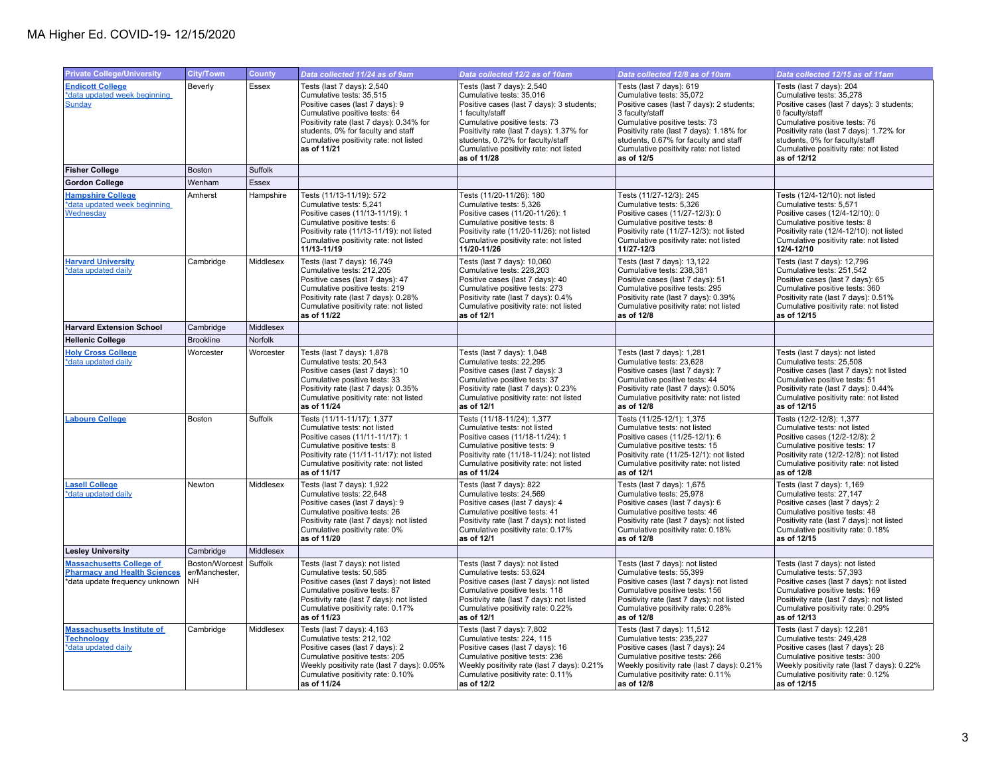| <b>Private College/University</b>                                                                        | <b>City/Town</b>                       | County    | Data collected 11/24 as of 9am                                                                                                                                                                                                                                        | Data collected 12/2 as of 10am                                                                                                                                                                                                                                                                    | Data collected 12/8 as of 10am                                                                                                                                                                                                                                                                     | Data collected 12/15 as of 11am                                                                                                                                                                                                                                                              |
|----------------------------------------------------------------------------------------------------------|----------------------------------------|-----------|-----------------------------------------------------------------------------------------------------------------------------------------------------------------------------------------------------------------------------------------------------------------------|---------------------------------------------------------------------------------------------------------------------------------------------------------------------------------------------------------------------------------------------------------------------------------------------------|----------------------------------------------------------------------------------------------------------------------------------------------------------------------------------------------------------------------------------------------------------------------------------------------------|----------------------------------------------------------------------------------------------------------------------------------------------------------------------------------------------------------------------------------------------------------------------------------------------|
| <b>Endicott College</b><br>*data updated week beginning<br>Sunday                                        | Beverly                                | Essex     | Tests (last 7 days): 2,540<br>Cumulative tests: 35,515<br>Positive cases (last 7 days): 9<br>Cumulative positive tests: 64<br>Positivity rate (last 7 days): 0.34% for<br>students, 0% for faculty and staff<br>Cumulative positivity rate: not listed<br>as of 11/21 | Tests (last 7 days): 2,540<br>Cumulative tests: 35,016<br>Positive cases (last 7 days): 3 students;<br>1 faculty/staff<br>Cumulative positive tests: 73<br>Positivity rate (last 7 days): 1.37% for<br>students, 0.72% for faculty/staff<br>Cumulative positivity rate: not listed<br>as of 11/28 | Tests (last 7 days): 619<br>Cumulative tests: 35,072<br>Positive cases (last 7 days): 2 students;<br>3 faculty/staff<br>Cumulative positive tests: 73<br>Positivity rate (last 7 days): 1.18% for<br>students, 0.67% for faculty and staff<br>Cumulative positivity rate: not listed<br>as of 12/5 | Tests (last 7 days): 204<br>Cumulative tests: 35,278<br>Positive cases (last 7 days): 3 students;<br>0 faculty/staff<br>Cumulative positive tests: 76<br>Positivity rate (last 7 days): 1.72% for<br>students, 0% for faculty/staff<br>Cumulative positivity rate: not listed<br>as of 12/12 |
| <b>Fisher College</b>                                                                                    | <b>Boston</b>                          | Suffolk   |                                                                                                                                                                                                                                                                       |                                                                                                                                                                                                                                                                                                   |                                                                                                                                                                                                                                                                                                    |                                                                                                                                                                                                                                                                                              |
| <b>Gordon College</b>                                                                                    | Wenham                                 | Essex     |                                                                                                                                                                                                                                                                       |                                                                                                                                                                                                                                                                                                   |                                                                                                                                                                                                                                                                                                    |                                                                                                                                                                                                                                                                                              |
| <b>Hampshire College</b><br>*data updated week beginning<br>Wednesday                                    | Amherst                                | Hampshire | Tests (11/13-11/19): 572<br>Cumulative tests: 5,241<br>Positive cases (11/13-11/19): 1<br>Cumulative positive tests: 6<br>Positivity rate (11/13-11/19): not listed<br>Cumulative positivity rate: not listed<br>11/13-11/19                                          | Tests (11/20-11/26): 180<br>Cumulative tests: 5,326<br>Positive cases (11/20-11/26): 1<br>Cumulative positive tests: 8<br>Positivity rate (11/20-11/26): not listed<br>Cumulative positivity rate: not listed<br>11/20-11/26                                                                      | Tests (11/27-12/3): 245<br>Cumulative tests: 5,326<br>Positive cases (11/27-12/3): 0<br>Cumulative positive tests: 8<br>Positivity rate (11/27-12/3): not listed<br>Cumulative positivity rate: not listed<br>11/27-12/3                                                                           | Tests (12/4-12/10): not listed<br>Cumulative tests: 5,571<br>Positive cases (12/4-12/10): 0<br>Cumulative positive tests: 8<br>Positivity rate (12/4-12/10): not listed<br>Cumulative positivity rate: not listed<br>12/4-12/10                                                              |
| <b>Harvard University</b><br>*data updated daily                                                         | Cambridge                              | Middlesex | Tests (last 7 days): 16,749<br>Cumulative tests: 212,205<br>Positive cases (last 7 days): 47<br>Cumulative positive tests: 219<br>Positivity rate (last 7 days): 0.28%<br>Cumulative positivity rate: not listed<br>as of 11/22                                       | Tests (last 7 days): 10,060<br>Cumulative tests: 228,203<br>Positive cases (last 7 days): 40<br>Cumulative positive tests: 273<br>Positivity rate (last 7 days): 0.4%<br>Cumulative positivity rate: not listed<br>as of 12/1                                                                     | Tests (last 7 days): 13,122<br>Cumulative tests: 238,381<br>Positive cases (last 7 days): 51<br>Cumulative positive tests: 295<br>Positivity rate (last 7 days): 0.39%<br>Cumulative positivity rate: not listed<br>as of 12/8                                                                     | Tests (last 7 days): 12,796<br>Cumulative tests: 251,542<br>Positive cases (last 7 days): 65<br>Cumulative positive tests: 360<br>Positivity rate (last 7 days): 0.51%<br>Cumulative positivity rate: not listed<br>as of 12/15                                                              |
| <b>Harvard Extension School</b>                                                                          | Cambridge                              | Middlesex |                                                                                                                                                                                                                                                                       |                                                                                                                                                                                                                                                                                                   |                                                                                                                                                                                                                                                                                                    |                                                                                                                                                                                                                                                                                              |
| <b>Hellenic College</b>                                                                                  | <b>Brookline</b>                       | Norfolk   |                                                                                                                                                                                                                                                                       |                                                                                                                                                                                                                                                                                                   |                                                                                                                                                                                                                                                                                                    |                                                                                                                                                                                                                                                                                              |
| <b>Holy Cross College</b><br>*data updated daily                                                         | Worcester                              | Worcester | Tests (last 7 days): 1,878<br>Cumulative tests: 20,543<br>Positive cases (last 7 days): 10<br>Cumulative positive tests: 33<br>Positivity rate (last 7 days): 0.35%<br>Cumulative positivity rate: not listed<br>as of 11/24                                          | Tests (last 7 days): 1,048<br>Cumulative tests: 22,295<br>Positive cases (last 7 days): 3<br>Cumulative positive tests: 37<br>Positivity rate (last 7 days): 0.23%<br>Cumulative positivity rate: not listed<br>as of 12/1                                                                        | Tests (last 7 days): 1,281<br>Cumulative tests: 23,628<br>Positive cases (last 7 days): 7<br>Cumulative positive tests: 44<br>Positivity rate (last 7 days): 0.50%<br>Cumulative positivity rate: not listed<br>as of 12/8                                                                         | Tests (last 7 days): not listed<br>Cumulative tests: 25,508<br>Positive cases (last 7 days): not listed<br>Cumulative positive tests: 51<br>Positivity rate (last 7 days): 0.44%<br>Cumulative positivity rate: not listed<br>as of 12/15                                                    |
| <b>Laboure College</b>                                                                                   | Boston                                 | Suffolk   | Tests (11/11-11/17): 1,377<br>Cumulative tests: not listed<br>Positive cases (11/11-11/17): 1<br>Cumulative positive tests: 8<br>Positivity rate (11/11-11/17): not listed<br>Cumulative positivity rate: not listed<br>as of 11/17                                   | Tests (11/18-11/24): 1,377<br>Cumulative tests: not listed<br>Positive cases (11/18-11/24): 1<br>Cumulative positive tests: 9<br>Positivity rate (11/18-11/24): not listed<br>Cumulative positivity rate: not listed<br>as of 11/24                                                               | Tests (11/25-12/1): 1,375<br>Cumulative tests: not listed<br>Positive cases (11/25-12/1): 6<br>Cumulative positive tests: 15<br>Positivity rate (11/25-12/1): not listed<br>Cumulative positivity rate: not listed<br>as of 12/1                                                                   | Tests (12/2-12/8): 1,377<br>Cumulative tests: not listed<br>Positive cases (12/2-12/8): 2<br>Cumulative positive tests: 17<br>Positivity rate (12/2-12/8): not listed<br>Cumulative positivity rate: not listed<br>as of 12/8                                                                |
| <b>Lasell College</b><br>*data updated daily                                                             | Newton                                 | Middlesex | Tests (last 7 days): 1,922<br>Cumulative tests: 22,648<br>Positive cases (last 7 days): 9<br>Cumulative positive tests: 26<br>Positivity rate (last 7 days): not listed<br>Cumulative positivity rate: 0%<br>as of 11/20                                              | Tests (last 7 days): 822<br>Cumulative tests: 24,569<br>Positive cases (last 7 days): 4<br>Cumulative positive tests: 41<br>Positivity rate (last 7 days): not listed<br>Cumulative positivity rate: 0.17%<br>as of 12/1                                                                          | Tests (last 7 days): 1,675<br>Cumulative tests: 25,978<br>Positive cases (last 7 days): 6<br>Cumulative positive tests: 46<br>Positivity rate (last 7 days): not listed<br>Cumulative positivity rate: 0.18%<br>as of 12/8                                                                         | Tests (last 7 days): 1,169<br>Cumulative tests: 27,147<br>Positive cases (last 7 days): 2<br>Cumulative positive tests: 48<br>Positivity rate (last 7 days): not listed<br>Cumulative positivity rate: 0.18%<br>as of 12/15                                                                  |
| <b>Lesley University</b>                                                                                 | Cambridge                              | Middlesex |                                                                                                                                                                                                                                                                       |                                                                                                                                                                                                                                                                                                   |                                                                                                                                                                                                                                                                                                    |                                                                                                                                                                                                                                                                                              |
| <b>Massachusetts College of</b><br><b>Pharmacy and Health Sciences</b><br>*data update frequency unknown | Boston/Worcest<br>er/Manchester,<br>NH | Suffolk   | Tests (last 7 days): not listed<br>Cumulative tests: 50,585<br>Positive cases (last 7 days): not listed<br>Cumulative positive tests: 87<br>Positivity rate (last 7 days): not listed<br>Cumulative positivity rate: 0.17%<br>as of 11/23                             | Tests (last 7 days): not listed<br>Cumulative tests: 53,624<br>Positive cases (last 7 days): not listed<br>Cumulative positive tests: 118<br>Positivity rate (last 7 days): not listed<br>Cumulative positivity rate: 0.22%<br>as of 12/1                                                         | Tests (last 7 days): not listed<br>Cumulative tests: 55,399<br>Positive cases (last 7 days): not listed<br>Cumulative positive tests: 156<br>Positivity rate (last 7 days): not listed<br>Cumulative positivity rate: 0.28%<br>as of 12/8                                                          | Tests (last 7 days): not listed<br>Cumulative tests: 57,393<br>Positive cases (last 7 days): not listed<br>Cumulative positive tests: 169<br>Positivity rate (last 7 days): not listed<br>Cumulative positivity rate: 0.29%<br>as of 12/13                                                   |
| <b>Massachusetts Institute of</b><br><b>Technology</b><br>*data updated daily                            | Cambridge                              | Middlesex | Tests (last 7 days): 4,163<br>Cumulative tests: 212,102<br>Positive cases (last 7 days): 2<br>Cumulative positive tests: 205<br>Weekly positivity rate (last 7 days): 0.05%<br>Cumulative positivity rate: 0.10%<br>as of 11/24                                       | Tests (last 7 days): 7,802<br>Cumulative tests: 224, 115<br>Positive cases (last 7 days): 16<br>Cumulative positive tests: 236<br>Weekly positivity rate (last 7 days): 0.21%<br>Cumulative positivity rate: 0.11%<br>as of 12/2                                                                  | Tests (last 7 days): 11,512<br>Cumulative tests: 235,227<br>Positive cases (last 7 days): 24<br>Cumulative positive tests: 266<br>Weekly positivity rate (last 7 days): 0.21%<br>Cumulative positivity rate: 0.11%<br>as of 12/8                                                                   | Tests (last 7 days): 12,281<br>Cumulative tests: 249,428<br>Positive cases (last 7 days): 28<br>Cumulative positive tests: 300<br>Weekly positivity rate (last 7 days): 0.22%<br>Cumulative positivity rate: 0.12%<br>as of 12/15                                                            |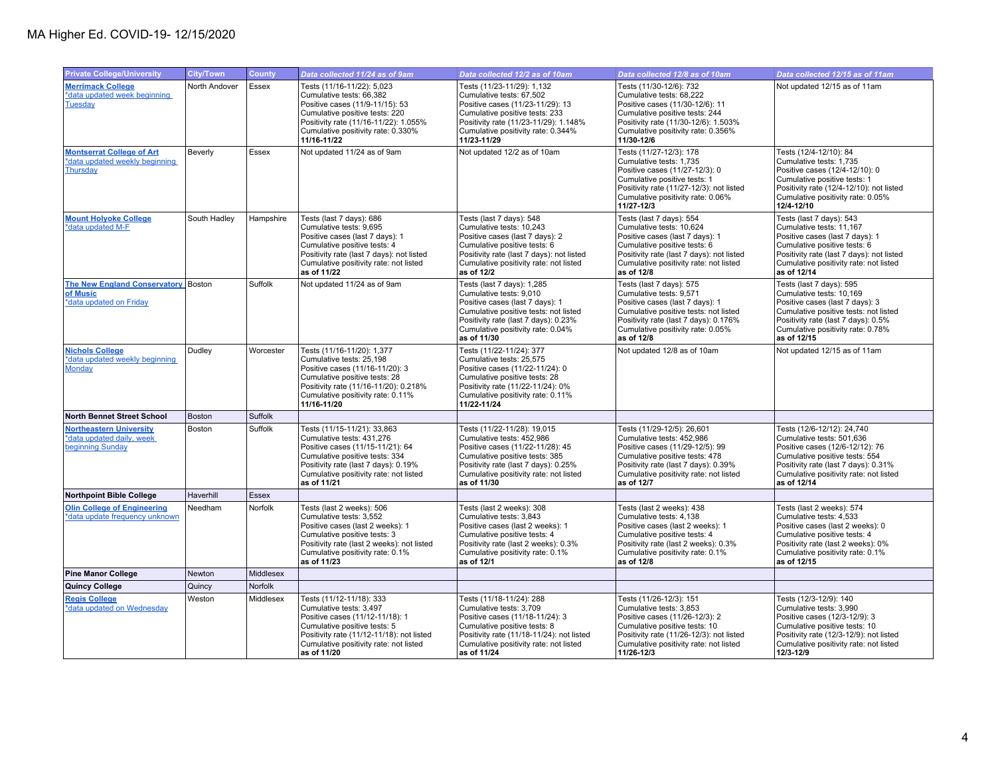| <b>Private College/University</b>                                               | <b>City/Town</b> | County         | Data collected 11/24 as of 9am                                                                                                                                                                                                  | Data collected 12/2 as of 10am                                                                                                                                                                                                  | Data collected 12/8 as of 10am                                                                                                                                                                                               | Data collected 12/15 as of 11am                                                                                                                                                                                               |
|---------------------------------------------------------------------------------|------------------|----------------|---------------------------------------------------------------------------------------------------------------------------------------------------------------------------------------------------------------------------------|---------------------------------------------------------------------------------------------------------------------------------------------------------------------------------------------------------------------------------|------------------------------------------------------------------------------------------------------------------------------------------------------------------------------------------------------------------------------|-------------------------------------------------------------------------------------------------------------------------------------------------------------------------------------------------------------------------------|
| <b>Merrimack College</b><br>*data updated week beginning<br><b>Tuesday</b>      | North Andover    | Essex          | Tests (11/16-11/22): 5,023<br>Cumulative tests: 66,382<br>Positive cases (11/9-11/15): 53<br>Cumulative positive tests: 220<br>Positivity rate (11/16-11/22): 1.055%<br>Cumulative positivity rate: 0.330%<br>11/16-11/22       | Tests (11/23-11/29): 1,132<br>Cumulative tests: 67,502<br>Positive cases (11/23-11/29): 13<br>Cumulative positive tests: 233<br>Positivity rate (11/23-11/29): 1.148%<br>Cumulative positivity rate: 0.344%<br>11/23-11/29      | Tests (11/30-12/6): 732<br>Cumulative tests: 68,222<br>Positive cases (11/30-12/6): 11<br>Cumulative positive tests: 244<br>Positivity rate (11/30-12/6): 1.503%<br>Cumulative positivity rate: 0.356%<br>11/30-12/6         | Not updated 12/15 as of 11am                                                                                                                                                                                                  |
| <b>Montserrat College of Art</b><br>*data updated weekly beginning<br>Thursday  | Beverly          | <b>Essex</b>   | Not updated 11/24 as of 9am                                                                                                                                                                                                     | Not updated 12/2 as of 10am                                                                                                                                                                                                     | Tests (11/27-12/3): 178<br>Cumulative tests: 1.735<br>Positive cases (11/27-12/3): 0<br>Cumulative positive tests: 1<br>Positivity rate (11/27-12/3): not listed<br>Cumulative positivity rate: 0.06%<br>11/27-12/3          | Tests (12/4-12/10): 84<br>Cumulative tests: 1,735<br>Positive cases (12/4-12/10): 0<br>Cumulative positive tests: 1<br>Positivity rate (12/4-12/10): not listed<br>Cumulative positivity rate: 0.05%<br>12/4-12/10            |
| <b>Mount Holyoke College</b><br>*data updated M-F                               | South Hadley     | Hampshire      | Tests (last 7 days): 686<br>Cumulative tests: 9,695<br>Positive cases (last 7 days): 1<br>Cumulative positive tests: 4<br>Positivity rate (last 7 days): not listed<br>Cumulative positivity rate: not listed<br>as of 11/22    | Tests (last 7 days): 548<br>Cumulative tests: 10,243<br>Positive cases (last 7 days): 2<br>Cumulative positive tests: 6<br>Positivity rate (last 7 days): not listed<br>Cumulative positivity rate: not listed<br>as of 12/2    | Tests (last 7 days): 554<br>Cumulative tests: 10,624<br>Positive cases (last 7 days): 1<br>Cumulative positive tests: 6<br>Positivity rate (last 7 days): not listed<br>Cumulative positivity rate: not listed<br>as of 12/8 | Tests (last 7 days): 543<br>Cumulative tests: 11,167<br>Positive cases (last 7 days): 1<br>Cumulative positive tests: 6<br>Positivity rate (last 7 days): not listed<br>Cumulative positivity rate: not listed<br>as of 12/14 |
| The New England Conservatory Boston<br>of Music<br>*data updated on Friday      |                  | <b>Suffolk</b> | Not updated 11/24 as of 9am                                                                                                                                                                                                     | Tests (last 7 days): 1,285<br>Cumulative tests: 9,010<br>Positive cases (last 7 days): 1<br>Cumulative positive tests: not listed<br>Positivity rate (last 7 days): 0.23%<br>Cumulative positivity rate: 0.04%<br>as of 11/30   | Tests (last 7 days): 575<br>Cumulative tests: 9.571<br>Positive cases (last 7 days): 1<br>Cumulative positive tests: not listed<br>Positivity rate (last 7 days): 0.176%<br>Cumulative positivity rate: 0.05%<br>as of 12/8  | Tests (last 7 days): 595<br>Cumulative tests: 10,169<br>Positive cases (last 7 days): 3<br>Cumulative positive tests: not listed<br>Positivity rate (last 7 days): 0.5%<br>Cumulative positivity rate: 0.78%<br>as of 12/15   |
| <b>Nichols College</b><br>*data updated weekly beginning<br>Monday              | Dudley           | Worcester      | Tests (11/16-11/20): 1,377<br>Cumulative tests: 25,198<br>Positive cases (11/16-11/20): 3<br>Cumulative positive tests: 28<br>Positivity rate (11/16-11/20): 0.218%<br>Cumulative positivity rate: 0.11%<br>11/16-11/20         | Tests (11/22-11/24): 377<br>Cumulative tests: 25,575<br>Positive cases (11/22-11/24): 0<br>Cumulative positive tests: 28<br>Positivity rate (11/22-11/24): 0%<br>Cumulative positivity rate: 0.11%<br>11/22-11/24               | Not updated 12/8 as of 10am                                                                                                                                                                                                  | Not updated 12/15 as of 11am                                                                                                                                                                                                  |
| <b>North Bennet Street School</b>                                               | Boston           | Suffolk        |                                                                                                                                                                                                                                 |                                                                                                                                                                                                                                 |                                                                                                                                                                                                                              |                                                                                                                                                                                                                               |
| <b>Northeastern University</b><br>*data updated daily, week<br>beginning Sunday | Boston           | Suffolk        | Tests (11/15-11/21): 33,863<br>Cumulative tests: 431,276<br>Positive cases (11/15-11/21): 64<br>Cumulative positive tests: 334<br>Positivity rate (last 7 days): 0.19%<br>Cumulative positivity rate: not listed<br>as of 11/21 | Tests (11/22-11/28): 19,015<br>Cumulative tests: 452,986<br>Positive cases (11/22-11/28): 45<br>Cumulative positive tests: 385<br>Positivity rate (last 7 days): 0.25%<br>Cumulative positivity rate: not listed<br>as of 11/30 | Tests (11/29-12/5): 26,601<br>Cumulative tests: 452,986<br>Positive cases (11/29-12/5): 99<br>Cumulative positive tests: 478<br>Positivity rate (last 7 days): 0.39%<br>Cumulative positivity rate: not listed<br>as of 12/7 | Tests (12/6-12/12): 24,740<br>Cumulative tests: 501,636<br>Positive cases (12/6-12/12): 76<br>Cumulative positive tests: 554<br>Positivity rate (last 7 days): 0.31%<br>Cumulative positivity rate: not listed<br>as of 12/14 |
| Northpoint Bible College                                                        | Haverhill        | <b>Essex</b>   |                                                                                                                                                                                                                                 |                                                                                                                                                                                                                                 |                                                                                                                                                                                                                              |                                                                                                                                                                                                                               |
| <b>Olin College of Engineering</b><br>*data update frequency unknown            | Needham          | Norfolk        | Tests (last 2 weeks): 506<br>Cumulative tests: 3,552<br>Positive cases (last 2 weeks): 1<br>Cumulative positive tests: 3<br>Positivity rate (last 2 weeks): not listed<br>Cumulative positivity rate: 0.1%<br>as of 11/23       | Tests (last 2 weeks): 308<br>Cumulative tests: 3,843<br>Positive cases (last 2 weeks): 1<br>Cumulative positive tests: 4<br>Positivity rate (last 2 weeks): 0.3%<br>Cumulative positivity rate: 0.1%<br>as of 12/1              | Tests (last 2 weeks): 438<br>Cumulative tests: 4,138<br>Positive cases (last 2 weeks): 1<br>Cumulative positive tests: 4<br>Positivity rate (last 2 weeks): 0.3%<br>Cumulative positivity rate: 0.1%<br>as of 12/8           | Tests (last 2 weeks): 574<br>Cumulative tests: 4,533<br>Positive cases (last 2 weeks): 0<br>Cumulative positive tests: 4<br>Positivity rate (last 2 weeks): 0%<br>Cumulative positivity rate: 0.1%<br>as of 12/15             |
| <b>Pine Manor College</b>                                                       | Newton           | Middlesex      |                                                                                                                                                                                                                                 |                                                                                                                                                                                                                                 |                                                                                                                                                                                                                              |                                                                                                                                                                                                                               |
| Quincy College                                                                  | Quincy           | Norfolk        |                                                                                                                                                                                                                                 |                                                                                                                                                                                                                                 |                                                                                                                                                                                                                              |                                                                                                                                                                                                                               |
| <b>Regis College</b><br>*data updated on Wednesday                              | Weston           | Middlesex      | Tests (11/12-11/18): 333<br>Cumulative tests: 3,497<br>Positive cases (11/12-11/18): 1<br>Cumulative positive tests: 5<br>Positivity rate (11/12-11/18); not listed<br>Cumulative positivity rate: not listed<br>as of 11/20    | Tests (11/18-11/24): 288<br>Cumulative tests: 3,709<br>Positive cases (11/18-11/24): 3<br>Cumulative positive tests: 8<br>Positivity rate (11/18-11/24); not listed<br>Cumulative positivity rate: not listed<br>as of 11/24    | Tests (11/26-12/3): 151<br>Cumulative tests: 3,853<br>Positive cases (11/26-12/3): 2<br>Cumulative positive tests: 10<br>Positivity rate (11/26-12/3): not listed<br>Cumulative positivity rate: not listed<br>11/26-12/3    | Tests (12/3-12/9): 140<br>Cumulative tests: 3,990<br>Positive cases (12/3-12/9): 3<br>Cumulative positive tests: 10<br>Positivity rate (12/3-12/9): not listed<br>Cumulative positivity rate: not listed<br>12/3-12/9         |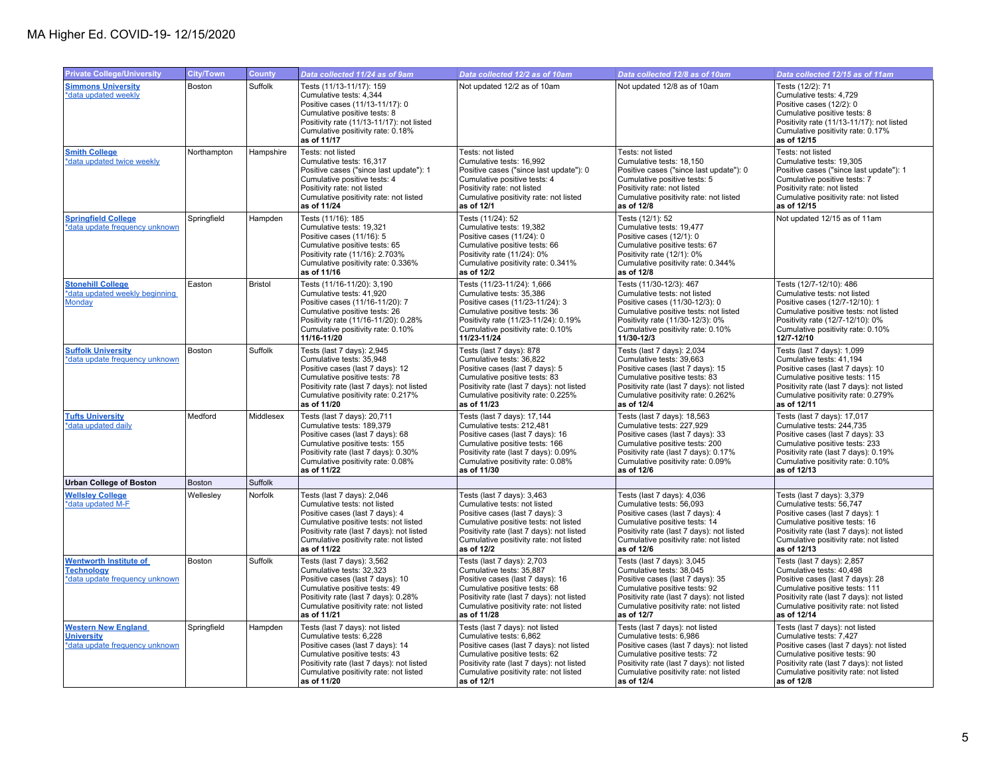| <b>Private College/University</b>                                                    | <b>City/Town</b> | County         | Data collected 11/24 as of 9am                                                                                                                                                                                                               | Data collected 12/2 as of 10am                                                                                                                                                                                                               | Data collected 12/8 as of 10am                                                                                                                                                                                                               | Data collected 12/15 as of 11am                                                                                                                                                                                                              |
|--------------------------------------------------------------------------------------|------------------|----------------|----------------------------------------------------------------------------------------------------------------------------------------------------------------------------------------------------------------------------------------------|----------------------------------------------------------------------------------------------------------------------------------------------------------------------------------------------------------------------------------------------|----------------------------------------------------------------------------------------------------------------------------------------------------------------------------------------------------------------------------------------------|----------------------------------------------------------------------------------------------------------------------------------------------------------------------------------------------------------------------------------------------|
| <b>Simmons University</b><br>*data updated weekly                                    | Boston           | Suffolk        | Tests (11/13-11/17): 159<br>Cumulative tests: 4,344<br>Positive cases (11/13-11/17): 0<br>Cumulative positive tests: 8<br>Positivity rate (11/13-11/17): not listed<br>Cumulative positivity rate: 0.18%<br>as of 11/17                      | Not updated 12/2 as of 10am                                                                                                                                                                                                                  | Not updated 12/8 as of 10am                                                                                                                                                                                                                  | Tests (12/2): 71<br>Cumulative tests: 4,729<br>Positive cases (12/2): 0<br>Cumulative positive tests: 8<br>Positivity rate (11/13-11/17): not listed<br>Cumulative positivity rate: 0.17%<br>as of 12/15                                     |
| <b>Smith College</b><br>*data updated twice weekly                                   | Northampton      | Hampshire      | Tests: not listed<br>Cumulative tests: 16,317<br>Positive cases ("since last update"): 1<br>Cumulative positive tests: 4<br>Positivity rate: not listed<br>Cumulative positivity rate: not listed<br>as of 11/24                             | Tests: not listed<br>Cumulative tests: 16,992<br>Positive cases ("since last update"): 0<br>Cumulative positive tests: 4<br>Positivity rate: not listed<br>Cumulative positivity rate: not listed<br>as of 12/1                              | Tests: not listed<br>Cumulative tests: 18,150<br>Positive cases ("since last update"): 0<br>Cumulative positive tests: 5<br>Positivity rate: not listed<br>Cumulative positivity rate: not listed<br>as of 12/8                              | Tests: not listed<br>Cumulative tests: 19,305<br>Positive cases ("since last update"): 1<br>Cumulative positive tests: 7<br>Positivity rate: not listed<br>Cumulative positivity rate: not listed<br>as of 12/15                             |
| <b>Springfield College</b><br>*data update frequency unknown                         | Springfield      | Hampden        | Tests (11/16): 185<br>Cumulative tests: 19,321<br>Positive cases (11/16): 5<br>Cumulative positive tests: 65<br>Positivity rate (11/16): 2.703%<br>Cumulative positivity rate: 0.336%<br>as of 11/16                                         | Tests (11/24): 52<br>Cumulative tests: 19,382<br>Positive cases (11/24): 0<br>Cumulative positive tests: 66<br>Positivity rate (11/24): 0%<br>Cumulative positivity rate: 0.341%<br>as of 12/2                                               | Tests (12/1): 52<br>Cumulative tests: 19,477<br>Positive cases (12/1): 0<br>Cumulative positive tests: 67<br>Positivity rate (12/1): 0%<br>Cumulative positivity rate: 0.344%<br>as of 12/8                                                  | Not updated 12/15 as of 11am                                                                                                                                                                                                                 |
| <b>Stonehill College</b><br>*data updated weekly beginning<br><b>Monday</b>          | Easton           | <b>Bristol</b> | Tests (11/16-11/20): 3,190<br>Cumulative tests: 41,920<br>Positive cases (11/16-11/20): 7<br>Cumulative positive tests: 26<br>Positivity rate (11/16-11/20): 0.28%<br>Cumulative positivity rate: 0.10%<br>11/16-11/20                       | Tests (11/23-11/24): 1,666<br>Cumulative tests: 35,386<br>Positive cases (11/23-11/24): 3<br>Cumulative positive tests: 36<br>Positivity rate (11/23-11/24): 0.19%<br>Cumulative positivity rate: 0.10%<br>11/23-11/24                       | Tests (11/30-12/3): 467<br>Cumulative tests: not listed<br>Positive cases (11/30-12/3): 0<br>Cumulative positive tests: not listed<br>Positivity rate (11/30-12/3): 0%<br>Cumulative positivity rate: 0.10%<br>11/30-12/3                    | Tests (12/7-12/10): 486<br>Cumulative tests: not listed<br>Positive cases (12/7-12/10): 1<br>Cumulative positive tests: not listed<br>Positivity rate (12/7-12/10): 0%<br>Cumulative positivity rate: 0.10%<br>12/7-12/10                    |
| <b>Suffolk University</b><br>*data update frequency unknown                          | Boston           | Suffolk        | Tests (last 7 days): $2,945$<br>Cumulative tests: 35,948<br>Positive cases (last 7 days): 12<br>Cumulative positive tests: 78<br>Positivity rate (last 7 days): not listed<br>Cumulative positivity rate: 0.217%<br>as of 11/20              | Tests (last 7 days): 878<br>Cumulative tests: 36,822<br>Positive cases (last 7 days): 5<br>Cumulative positive tests: 83<br>Positivity rate (last 7 days): not listed<br>Cumulative positivity rate: 0.225%<br>as of 11/23                   | Tests (last 7 days): 2,034<br>Cumulative tests: 39,663<br>Positive cases (last 7 days): 15<br>Cumulative positive tests: 83<br>Positivity rate (last 7 days): not listed<br>Cumulative positivity rate: 0.262%<br>as of 12/4                 | Tests (last 7 days): 1,099<br>Cumulative tests: 41,194<br>Positive cases (last 7 days): 10<br>Cumulative positive tests: 115<br>Positivity rate (last 7 days): not listed<br>Cumulative positivity rate: 0.279%<br>as of 12/11               |
| <b>Tufts University</b><br>*data updated daily                                       | Medford          | Middlesex      | Tests (last 7 days): 20,711<br>Cumulative tests: 189,379<br>Positive cases (last 7 days): 68<br>Cumulative positive tests: 155<br>Positivity rate (last 7 days): 0.30%<br>Cumulative positivity rate: 0.08%<br>as of 11/22                   | Tests (last 7 days): 17,144<br>Cumulative tests: 212,481<br>Positive cases (last 7 days): 16<br>Cumulative positive tests: 166<br>Positivity rate (last 7 days): 0.09%<br>Cumulative positivity rate: 0.08%<br>as of 11/30                   | Tests (last 7 days): 18,563<br>Cumulative tests: 227,929<br>Positive cases (last 7 days): 33<br>Cumulative positive tests: 200<br>Positivity rate (last 7 days): 0.17%<br>Cumulative positivity rate: 0.09%<br>as of 12/6                    | Tests (last 7 days): 17,017<br>Cumulative tests: 244,735<br>Positive cases (last 7 days): 33<br>Cumulative positive tests: 233<br>Positivity rate (last 7 days): 0.19%<br>Cumulative positivity rate: 0.10%<br>as of 12/13                   |
| <b>Urban College of Boston</b>                                                       | Boston           | Suffolk        |                                                                                                                                                                                                                                              |                                                                                                                                                                                                                                              |                                                                                                                                                                                                                                              |                                                                                                                                                                                                                                              |
| <b>Wellsley College</b><br>*data updated M-F                                         | Wellesley        | Norfolk        | Tests (last 7 days): 2,046<br>Cumulative tests: not listed<br>Positive cases (last 7 days): 4<br>Cumulative positive tests: not listed<br>Positivity rate (last 7 days): not listed<br>Cumulative positivity rate: not listed<br>as of 11/22 | Tests (last 7 days): 3,463<br>Cumulative tests: not listed<br>Positive cases (last 7 days): 3<br>Cumulative positive tests: not listed<br>Positivity rate (last 7 days): not listed<br>Cumulative positivity rate: not listed<br>as of 12/2  | Tests (last 7 days): 4,036<br>Cumulative tests: 56,093<br>Positive cases (last 7 days): 4<br>Cumulative positive tests: 14<br>Positivity rate (last 7 days): not listed<br>Cumulative positivity rate: not listed<br>as of 12/6              | Tests (last 7 days): 3,379<br>Cumulative tests: 56,747<br>Positive cases (last 7 days): 1<br>Cumulative positive tests: 16<br>Positivity rate (last 7 days): not listed<br>Cumulative positivity rate: not listed<br>as of 12/13             |
| <b>Wentworth Institute of</b><br><b>Technology</b><br>*data update frequency unknown | Boston           | Suffolk        | Tests (last 7 days): 3,562<br>Cumulative tests: 32,323<br>Positive cases (last 7 days): 10<br>Cumulative positive tests: 49<br>Positivity rate (last 7 days): 0.28%<br>Cumulative positivity rate: not listed<br>as of 11/21                 | Tests (last 7 days): 2,703<br>Cumulative tests: 35,887<br>Positive cases (last 7 days): 16<br>Cumulative positive tests: 68<br>Positivity rate (last 7 days): not listed<br>Cumulative positivity rate: not listed<br>as of 11/28            | Tests (last 7 days): 3,045<br>Cumulative tests: 38,045<br>Positive cases (last 7 days): 35<br>Cumulative positive tests: 92<br>Positivity rate (last 7 days): not listed<br>Cumulative positivity rate: not listed<br>as of 12/7             | Tests (last 7 days): 2,857<br>Cumulative tests: 40,498<br>Positive cases (last 7 days): 28<br>Cumulative positive tests: 111<br>Positivity rate (last 7 days); not listed<br>Cumulative positivity rate: not listed<br>as of 12/14           |
| <b>Western New England</b><br><b>University</b><br>*data update frequency unknown    | Springfield      | Hampden        | Tests (last 7 days): not listed<br>Cumulative tests: 6,228<br>Positive cases (last 7 days): 14<br>Cumulative positive tests: 43<br>Positivity rate (last 7 days): not listed<br>Cumulative positivity rate: not listed<br>as of 11/20        | Tests (last 7 days): not listed<br>Cumulative tests: 6,862<br>Positive cases (last 7 days): not listed<br>Cumulative positive tests: 62<br>Positivity rate (last 7 days): not listed<br>Cumulative positivity rate: not listed<br>as of 12/1 | Tests (last 7 days): not listed<br>Cumulative tests: 6,986<br>Positive cases (last 7 days): not listed<br>Cumulative positive tests: 72<br>Positivity rate (last 7 days): not listed<br>Cumulative positivity rate: not listed<br>as of 12/4 | Tests (last 7 days): not listed<br>Cumulative tests: 7,427<br>Positive cases (last 7 days): not listed<br>Cumulative positive tests: 90<br>Positivity rate (last 7 days): not listed<br>Cumulative positivity rate: not listed<br>as of 12/8 |